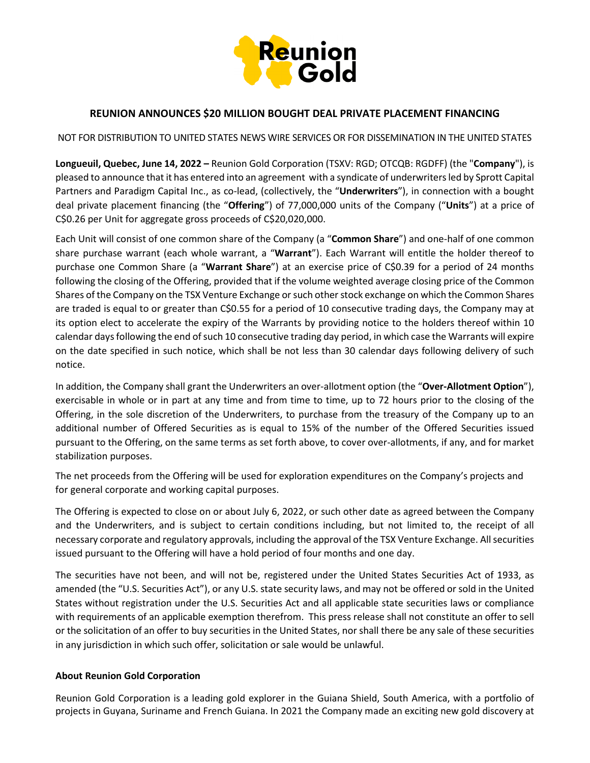

## **REUNION ANNOUNCES \$20 MILLION BOUGHT DEAL PRIVATE PLACEMENT FINANCING**

NOT FOR DISTRIBUTION TO UNITED STATES NEWS WIRE SERVICES OR FOR DISSEMINATION IN THE UNITED STATES

**Longueuil, Quebec, June 14, 2022 –** Reunion Gold Corporation (TSXV: RGD; OTCQB: RGDFF) (the "**Company**"), is pleased to announce that it has entered into an agreement with a syndicate of underwriters led by Sprott Capital Partners and Paradigm Capital Inc., as co-lead, (collectively, the "**Underwriters**"), in connection with a bought deal private placement financing (the "**Offering**") of 77,000,000 units of the Company ("**Units**") at a price of C\$0.26 per Unit for aggregate gross proceeds of C\$20,020,000.

Each Unit will consist of one common share of the Company (a "**Common Share**") and one-half of one common share purchase warrant (each whole warrant, a "**Warrant**"). Each Warrant will entitle the holder thereof to purchase one Common Share (a "**Warrant Share**") at an exercise price of C\$0.39 for a period of 24 months following the closing of the Offering, provided that if the volume weighted average closing price of the Common Shares of the Company on the TSX Venture Exchange or such other stock exchange on which the Common Shares are traded is equal to or greater than C\$0.55 for a period of 10 consecutive trading days, the Company may at its option elect to accelerate the expiry of the Warrants by providing notice to the holders thereof within 10 calendar days following the end of such 10 consecutive trading day period, in which case the Warrants will expire on the date specified in such notice, which shall be not less than 30 calendar days following delivery of such notice.

In addition, the Company shall grant the Underwriters an over-allotment option (the "**Over-Allotment Option**"), exercisable in whole or in part at any time and from time to time, up to 72 hours prior to the closing of the Offering, in the sole discretion of the Underwriters, to purchase from the treasury of the Company up to an additional number of Offered Securities as is equal to 15% of the number of the Offered Securities issued pursuant to the Offering, on the same terms as set forth above, to cover over-allotments, if any, and for market stabilization purposes.

The net proceeds from the Offering will be used for exploration expenditures on the Company's projects and for general corporate and working capital purposes.

The Offering is expected to close on or about July 6, 2022, or such other date as agreed between the Company and the Underwriters, and is subject to certain conditions including, but not limited to, the receipt of all necessary corporate and regulatory approvals, including the approval of the TSX Venture Exchange. All securities issued pursuant to the Offering will have a hold period of four months and one day.

The securities have not been, and will not be, registered under the United States Securities Act of 1933, as amended (the "U.S. Securities Act"), or any U.S. state security laws, and may not be offered or sold in the United States without registration under the U.S. Securities Act and all applicable state securities laws or compliance with requirements of an applicable exemption therefrom. This press release shall not constitute an offer to sell or the solicitation of an offer to buy securities in the United States, nor shall there be any sale of these securities in any jurisdiction in which such offer, solicitation or sale would be unlawful.

## **About Reunion Gold Corporation**

Reunion Gold Corporation is a leading gold explorer in the Guiana Shield, South America, with a portfolio of projects in Guyana, Suriname and French Guiana. In 2021 the Company made an exciting new gold discovery at